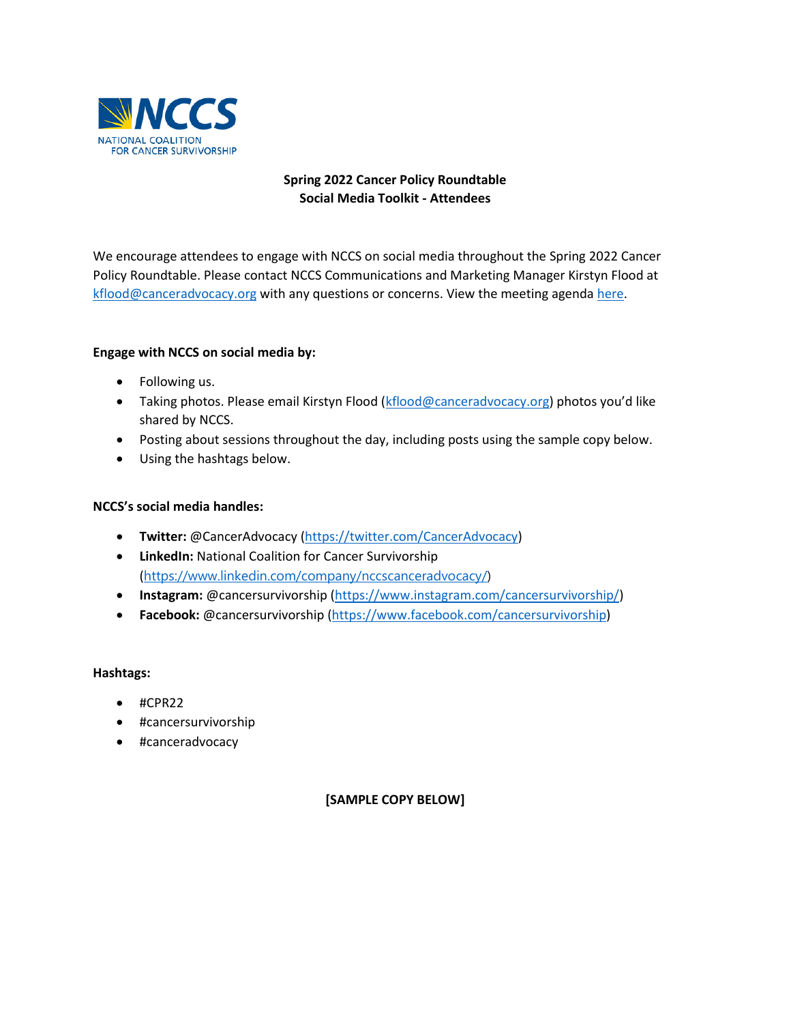

## **Spring 2022 Cancer Policy Roundtable Social Media Toolkit - Attendees**

We encourage attendees to engage with NCCS on social media throughout the Spring 2022 Cancer Policy Roundtable. Please contact NCCS Communications and Marketing Manager Kirstyn Flood at [kflood@canceradvocacy.org](mailto:kflood@canceradvocacy.org) with any questions or concerns. View the meeting agenda [here.](https://canceradvocacy.org/cpragenda/)

## **Engage with NCCS on social media by:**

- Following us.
- Taking photos. Please email Kirstyn Flood [\(kflood@canceradvocacy.org](mailto:kflood@canceradvocacy.org)) photos you'd like shared by NCCS.
- Posting about sessions throughout the day, including posts using the sample copy below.
- Using the hashtags below.

#### **NCCS's social media handles:**

- **Twitter:** @CancerAdvocacy [\(https://twitter.com/CancerAdvocacy\)](https://twitter.com/CancerAdvocacy)
- **LinkedIn:** National Coalition for Cancer Survivorship ([https://www.linkedin.com/company/nccscanceradvocacy/\)](https://www.linkedin.com/company/nccscanceradvocacy/)
- **Instagram:** @cancersurvivorship [\(https://www.instagram.com/cancersurvivorship/\)](https://www.instagram.com/cancersurvivorship/)
- **Facebook:** @cancersurvivorship [\(https://www.facebook.com/cancersurvivorship\)](https://www.facebook.com/cancersurvivorship)

#### **Hashtags:**

- #CPR22
- #cancersurvivorship
- #canceradvocacy

### **[SAMPLE COPY BELOW]**